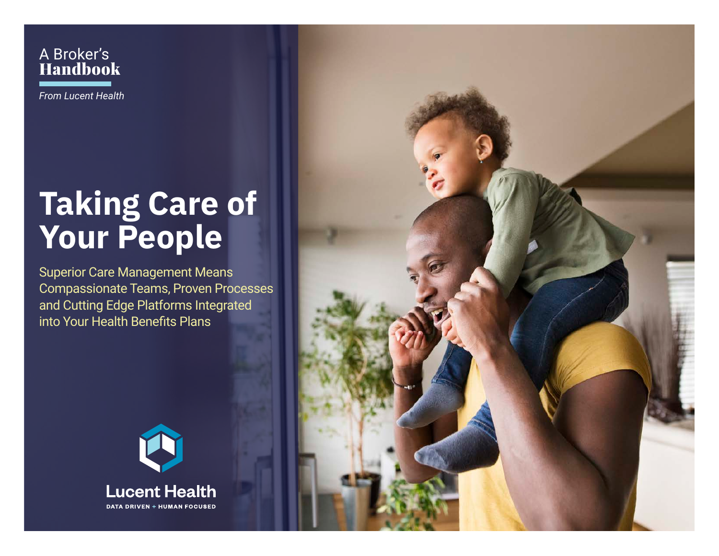A Broker's Handbook

*From Lucent Health*

## **Taking Care of Your People**

Superior Care Management Means Compassionate Teams, Proven Processes and Cutting Edge Platforms Integrated into Your Health Benefits Plans



**Lucent Health DATA DRIVEN + HUMAN FOCUSED**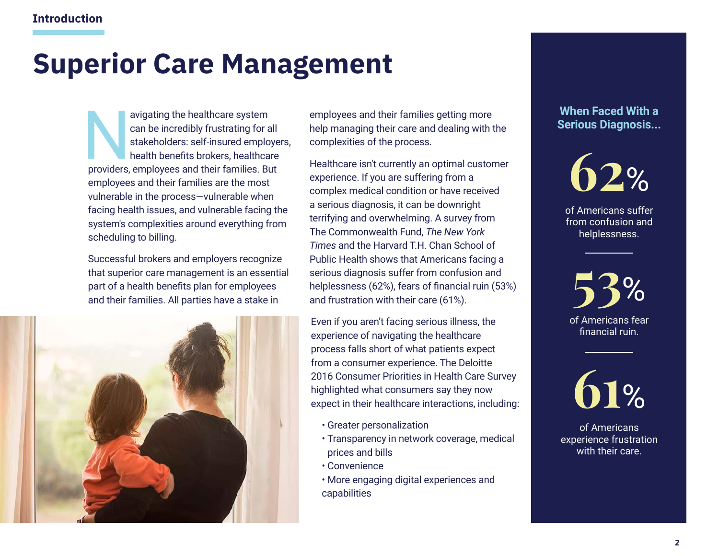## **Superior Care Management**

avigating the healthcare system<br>can be incredibly frustrating for a<br>stakeholders: self-insured emplo<br>health benefits brokers, healthca<br>providers. employees and their families. But can be incredibly frustrating for all stakeholders: self-insured employers, health benefits brokers, healthcare providers, employees and their families. But employees and their families are the most vulnerable in the process—vulnerable when facing health issues, and vulnerable facing the system's complexities around everything from scheduling to billing.

Successful brokers and employers recognize that superior care management is an essential part of a health benefits plan for employees and their families. All parties have a stake in



employees and their families getting more help managing their care and dealing with the complexities of the process.

Healthcare isn't currently an optimal customer experience. If you are suffering from a complex medical condition or have received a serious diagnosis, it can be downright terrifying and overwhelming. A survey from The Commonwealth Fund, *The New York Times* and the Harvard T.H. Chan School of Public Health shows that Americans facing a serious diagnosis suffer from confusion and helplessness (62%), fears of financial ruin (53%) and frustration with their care (61%).

Even if you aren't facing serious illness, the experience of navigating the healthcare process falls short of what patients expect from a consumer experience. The Deloitte 2016 Consumer Priorities in Health Care Survey highlighted what consumers say they now expect in their healthcare interactions, including:

- Greater personalization
- Transparency in network coverage, medical prices and bills
- Convenience
- More engaging digital experiences and capabilities

#### **When Faced With a Serious Diagnosis...**



of Americans suffer from confusion and helplessness.

of Americans fear financial ruin. **53**%



of Americans experience frustration with their care.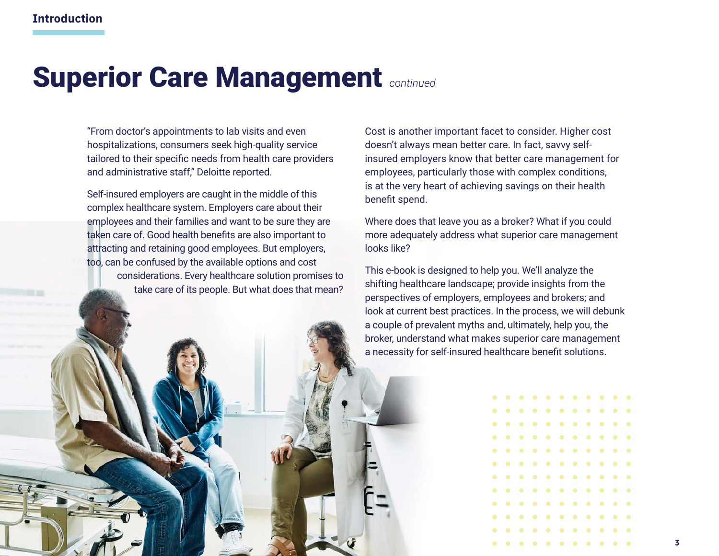## **Superior Care Management** *continued*

"From doctor's appointments to lab visits and even hospitalizations, consumers seek high-quality service tailored to their specific needs from health care providers and administrative staff," Deloitte reported.

Self-insured employers are caught in the middle of this complex healthcare system. Employers care about their employees and their families and want to be sure they are taken care of. Good health benefits are also important to attracting and retaining good employees. But employers, too, can be confused by the available options and cost considerations. Every healthcare solution promises to take care of its people. But what does that mean?

Cost is another important facet to consider. Higher cost doesn't always mean better care. In fact, savvy selfinsured employers know that better care management for employees, particularly those with complex conditions, is at the very heart of achieving savings on their health benefit spend.

Where does that leave you as a broker? What if you could more adequately address what superior care management looks like?

This e-book is designed to help you. We'll analyze the shifting healthcare landscape; provide insights from the perspectives of employers, employees and brokers; and look at current best practices. In the process, we will debunk a couple of prevalent myths and, ultimately, help you, the broker, understand what makes superior care management a necessity for self-insured healthcare benefit solutions.

|   |  |  | . |  |  |  |
|---|--|--|---|--|--|--|
|   |  |  | . |  |  |  |
|   |  |  | . |  |  |  |
|   |  |  | . |  |  |  |
|   |  |  | . |  |  |  |
|   |  |  | . |  |  |  |
|   |  |  | . |  |  |  |
|   |  |  | . |  |  |  |
|   |  |  | . |  |  |  |
|   |  |  | . |  |  |  |
| . |  |  |   |  |  |  |
| . |  |  |   |  |  |  |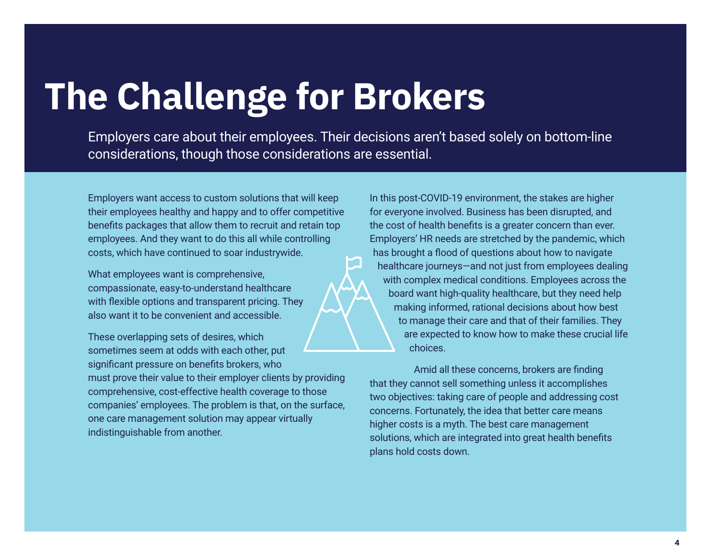## **The Challenge for Brokers**

Employers care about their employees. Their decisions aren't based solely on bottom-line considerations, though those considerations are essential.

Employers want access to custom solutions that will keep their employees healthy and happy and to offer competitive benefits packages that allow them to recruit and retain top employees. And they want to do this all while controlling costs, which have continued to soar industrywide.

What employees want is comprehensive, compassionate, easy-to-understand healthcare with flexible options and transparent pricing. They also want it to be convenient and accessible.

These overlapping sets of desires, which sometimes seem at odds with each other, put significant pressure on benefits brokers, who must prove their value to their employer clients by providing comprehensive, cost-effective health coverage to those companies' employees. The problem is that, on the surface, one care management solution may appear virtually indistinguishable from another.

In this post-COVID-19 environment, the stakes are higher for everyone involved. Business has been disrupted, and the cost of health benefits is a greater concern than ever. Employers' HR needs are stretched by the pandemic, which has brought a flood of questions about how to navigate healthcare journeys―and not just from employees dealing with complex medical conditions. Employees across the board want high-quality healthcare, but they need help making informed, rational decisions about how best to manage their care and that of their families. They are expected to know how to make these crucial life choices.

Amid all these concerns, brokers are finding that they cannot sell something unless it accomplishes two objectives: taking care of people and addressing cost concerns. Fortunately, the idea that better care means higher costs is a myth. The best care management solutions, which are integrated into great health benefits plans hold costs down.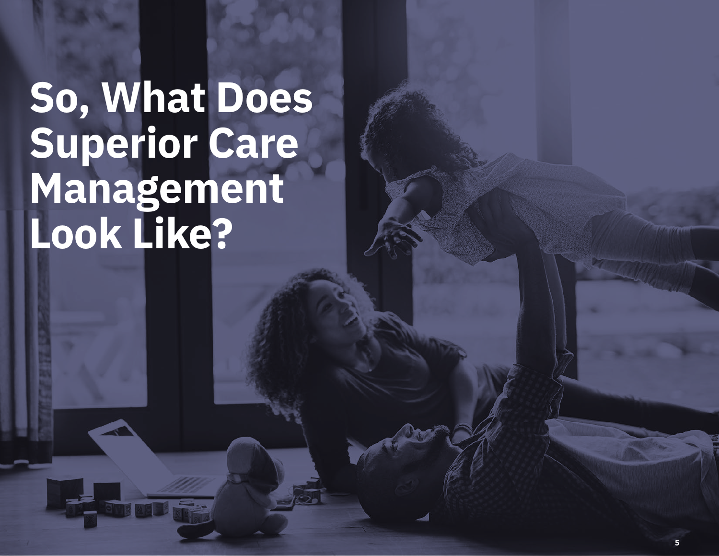## **So, What Does Superior Care Management Look Like?**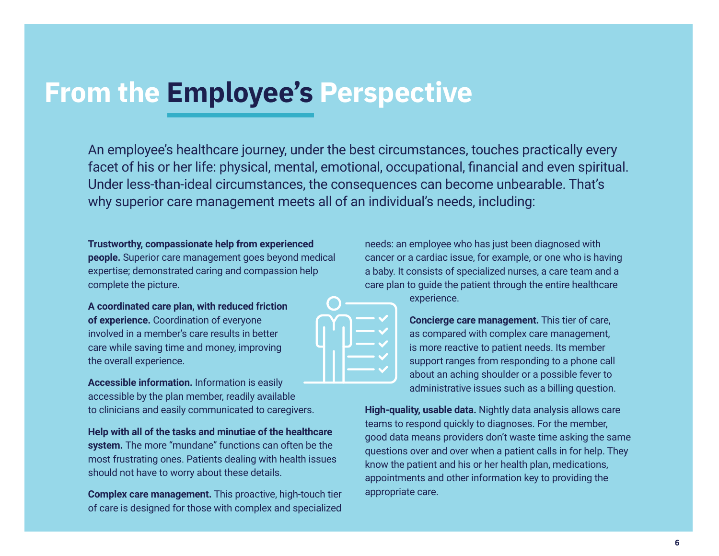## **From the Employee's Perspective**

An employee's healthcare journey, under the best circumstances, touches practically every facet of his or her life: physical, mental, emotional, occupational, financial and even spiritual. Under less-than-ideal circumstances, the consequences can become unbearable. That's why superior care management meets all of an individual's needs, including:

**Trustworthy, compassionate help from experienced people.** Superior care management goes beyond medical expertise; demonstrated caring and compassion help complete the picture.

**A coordinated care plan, with reduced friction of experience.** Coordination of everyone involved in a member's care results in better care while saving time and money, improving the overall experience.

**Accessible information.** Information is easily accessible by the plan member, readily available to clinicians and easily communicated to caregivers.

**Help with all of the tasks and minutiae of the healthcare system.** The more "mundane" functions can often be the most frustrating ones. Patients dealing with health issues should not have to worry about these details.

**Complex care management.** This proactive, high-touch tier of care is designed for those with complex and specialized needs: an employee who has just been diagnosed with cancer or a cardiac issue, for example, or one who is having a baby. It consists of specialized nurses, a care team and a care plan to guide the patient through the entire healthcare



experience.

**Concierge care management.** This tier of care, as compared with complex care management, is more reactive to patient needs. Its member support ranges from responding to a phone call about an aching shoulder or a possible fever to administrative issues such as a billing question.

**High-quality, usable data.** Nightly data analysis allows care teams to respond quickly to diagnoses. For the member, good data means providers don't waste time asking the same questions over and over when a patient calls in for help. They know the patient and his or her health plan, medications, appointments and other information key to providing the appropriate care.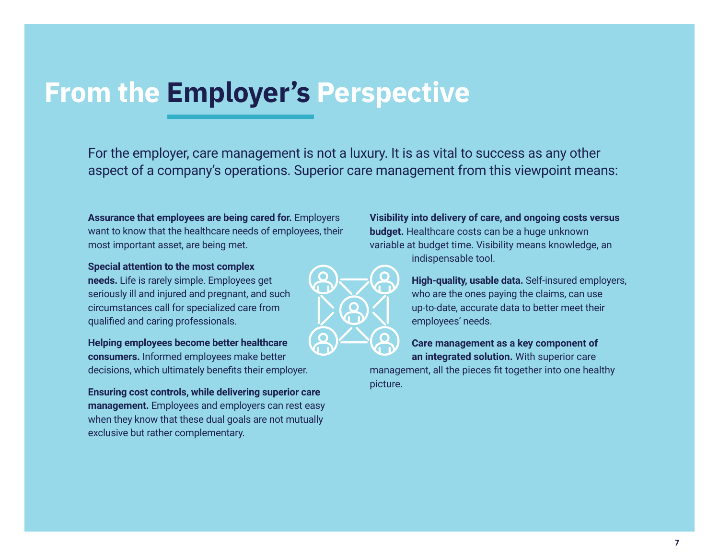## **From the Employer's Perspective**

For the employer, care management is not a luxury. It is as vital to success as any other aspect of a company's operations. Superior care management from this viewpoint means:

**Assurance that employees are being cared for.** Employers want to know that the healthcare needs of employees, their most important asset, are being met.

**Special attention to the most complex needs.** Life is rarely simple. Employees get seriously ill and injured and pregnant, and such circumstances call for specialized care from qualified and caring professionals.

**Helping employees become better healthcare consumers.** Informed employees make better decisions, which ultimately benefits their employer.

**Ensuring cost controls, while delivering superior care management.** Employees and employers can rest easy when they know that these dual goals are not mutually exclusive but rather complementary.

**Visibility into delivery of care, and ongoing costs versus budget.** Healthcare costs can be a huge unknown variable at budget time. Visibility means knowledge, an indispensable tool.

> **High-quality, usable data.** Self-insured employers, who are the ones paying the claims, can use up-to-date, accurate data to better meet their employees' needs.

**Care management as a key component of an integrated solution.** With superior care

management, all the pieces fit together into one healthy picture.

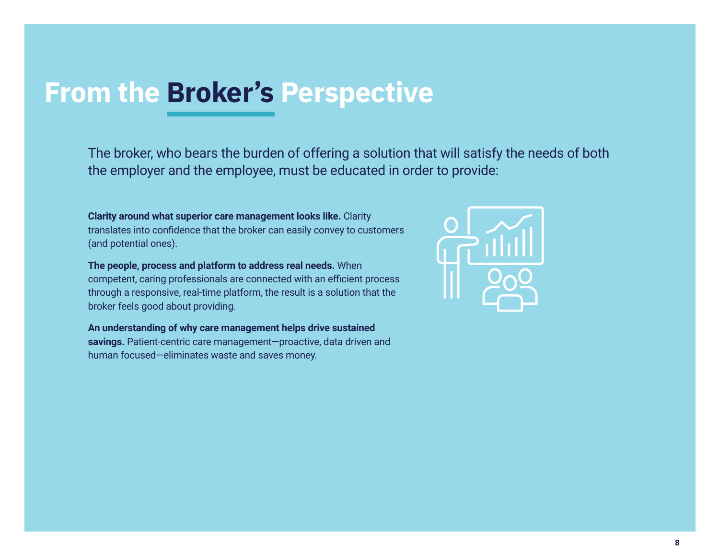## **From the Broker's Perspective**

The broker, who bears the burden of offering a solution that will satisfy the needs of both the employer and the employee, must be educated in order to provide:

**Clarity around what superior care management looks like.** Clarity translates into confidence that the broker can easily convey to customers (and potential ones).

**The people, process and platform to address real needs.** When competent, caring professionals are connected with an efficient process through a responsive, real-time platform, the result is a solution that the broker feels good about providing.

**An understanding of why care management helps drive sustained savings.** Patient-centric care management―proactive, data driven and human focused―eliminates waste and saves money.

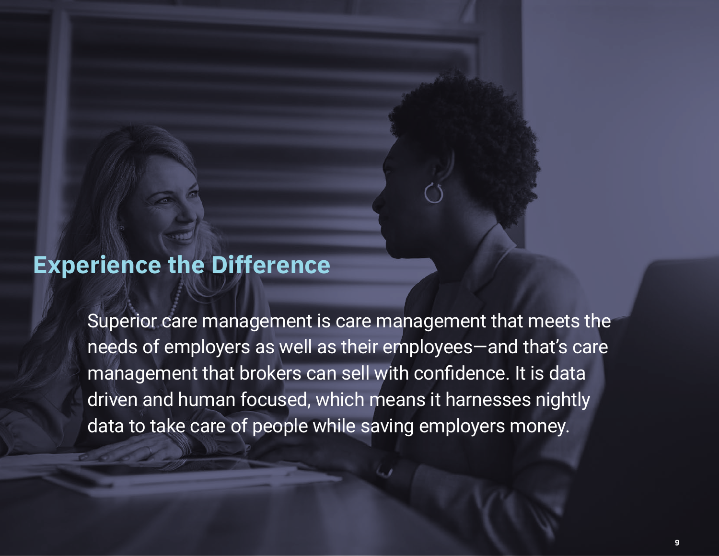## **Experience the Difference**

Superior care management is care management that meets the needs of employers as well as their employees―and that's care management that brokers can sell with confidence. It is data driven and human focused, which means it harnesses nightly data to take care of people while saving employers money.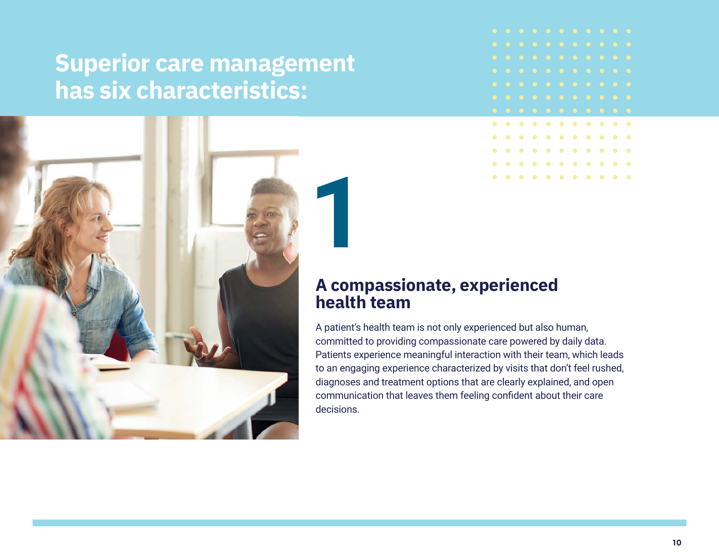## **Superior care management has six characteristics:**



#### **A compassionate, experienced health team**

A patient's health team is not only experienced but also human, committed to providing compassionate care powered by daily data. Patients experience meaningful interaction with their team, which leads to an engaging experience characterized by visits that don't feel rushed, diagnoses and treatment options that are clearly explained, and open communication that leaves them feeling confident about their care decisions.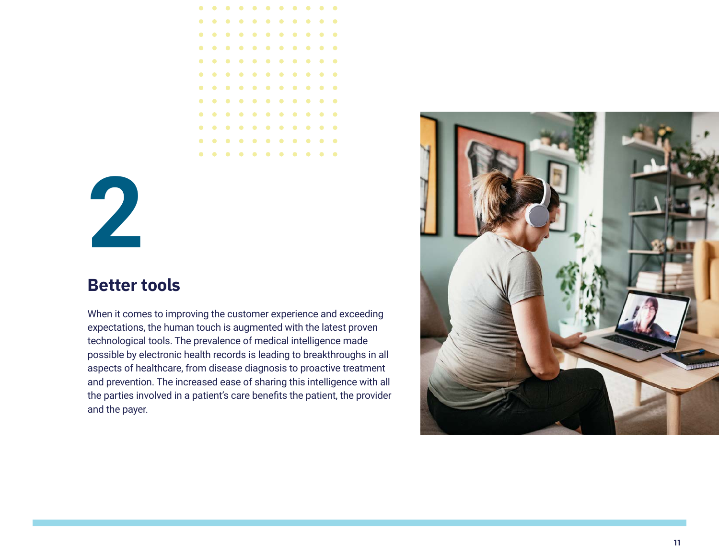

# **2**

#### **Better tools**

When it comes to improving the customer experience and exceeding expectations, the human touch is augmented with the latest proven technological tools. The prevalence of medical intelligence made possible by electronic health records is leading to breakthroughs in all aspects of healthcare, from disease diagnosis to proactive treatment and prevention. The increased ease of sharing this intelligence with all the parties involved in a patient's care benefits the patient, the provider and the payer.

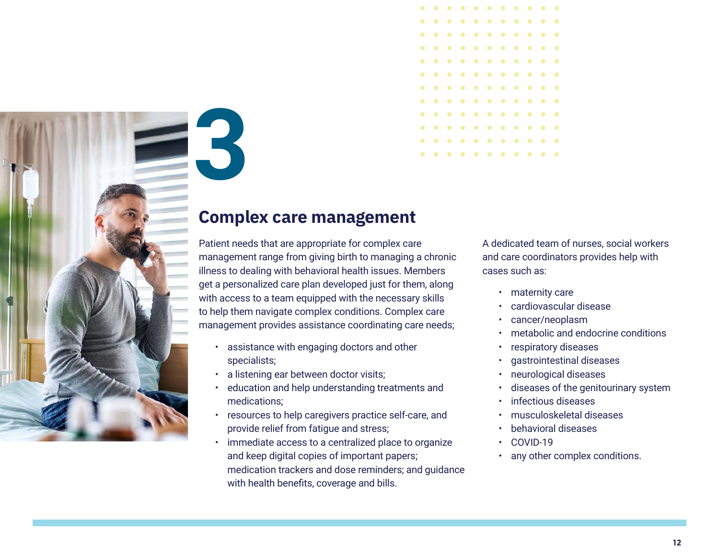![](_page_11_Picture_0.jpeg)

![](_page_11_Picture_1.jpeg)

#### **Complex care management**

Patient needs that are appropriate for complex care management range from giving birth to managing a chronic illness to dealing with behavioral health issues. Members get a personalized care plan developed just for them, along with access to a team equipped with the necessary skills to help them navigate complex conditions. Complex care management provides assistance coordinating care needs;

- assistance with engaging doctors and other specialists;
- a listening ear between doctor visits;
- education and help understanding treatments and medications;
- resources to help caregivers practice self-care, and provide relief from fatigue and stress;
- immediate access to a centralized place to organize and keep digital copies of important papers; medication trackers and dose reminders; and guidance with health benefits, coverage and bills.

A dedicated team of nurses, social workers and care coordinators provides help with cases such as:

- maternity care
- cardiovascular disease
- cancer/neoplasm
- metabolic and endocrine conditions
- respiratory diseases
- gastrointestinal diseases
- neurological diseases
- diseases of the genitourinary system
- infectious diseases
- musculoskeletal diseases
- behavioral diseases
- COVID-19
- any other complex conditions.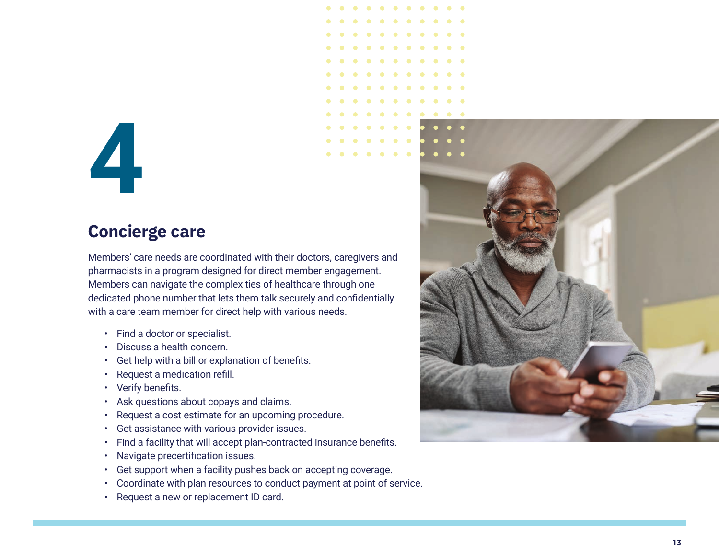# **4**

#### **Concierge care**

Members' care needs are coordinated with their doctors, caregivers and pharmacists in a program designed for direct member engagement. Members can navigate the complexities of healthcare through one dedicated phone number that lets them talk securely and confidentially with a care team member for direct help with various needs.<br>• Find a doctor or specialist.<br>• Discuss a health concern.<br>• Get help with a bill or explanation of benefits.

- 
- 
- 
- Request a medication refill.
- Verify benefits.
- 
- 
- 
- Ask questions about copays and claims. Request a cost estimate for an upcoming procedure. Get assistance with various provider issues. Find a facility that will accept plan-contracted insurance benefits.
- Navigate precertification issues.
- 
- Get support when a facility pushes back on accepting coverage. Coordinate with plan resources to conduct payment at point of service. Request a new or replacement ID card.
- 

![](_page_12_Picture_16.jpeg)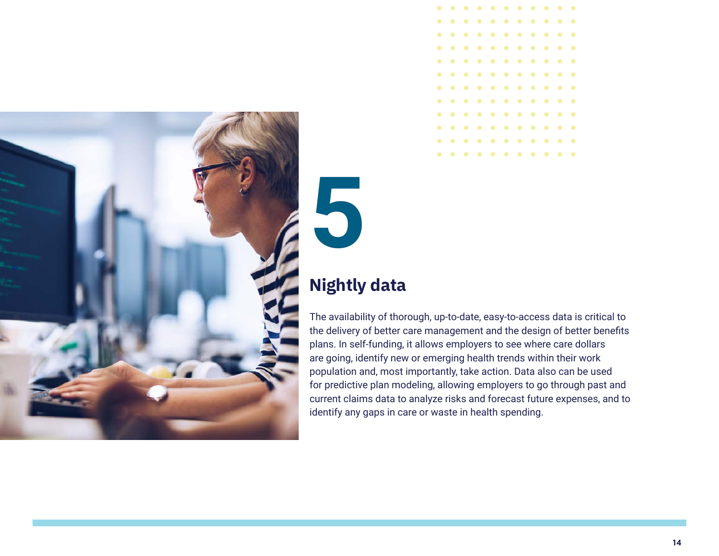![](_page_13_Picture_0.jpeg)

![](_page_13_Picture_1.jpeg)

### **Nightly data**

**5**

The availability of thorough, up-to-date, easy-to-access data is critical to the delivery of better care management and the design of better benefits plans. In self-funding, it allows employers to see where care dollars are going, identify new or emerging health trends within their work population and, most importantly, take action. Data also can be used for predictive plan modeling, allowing employers to go through past and current claims data to analyze risks and forecast future expenses, and to identify any gaps in care or waste in health spending.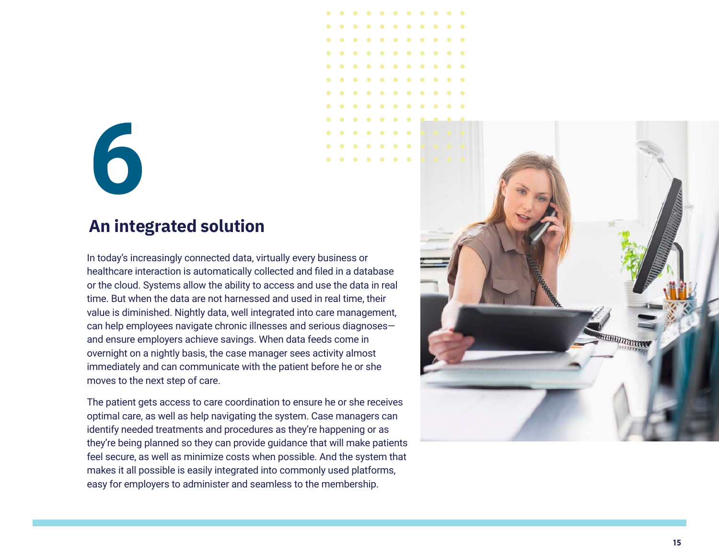### **An integrated solution**

In today's increasingly connected data, virtually every business or healthcare interaction is automatically collected and filed in a database or the cloud. Systems allow the ability to access and use the data in real time. But when the data are not harnessed and used in real time, their value is diminished. Nightly data, well integrated into care management, can help employees navigate chronic illnesses and serious diagnoses― and ensure employers achieve savings. When data feeds come in overnight on a nightly basis, the case manager sees activity almost immediately and can communicate with the patient before he or she moves to the next step of care. **Example 12 Example 12 Consumed to a symple of the membership of the seamled seamlest and seamled and fled in a databor the cloud. Systems allow the ability to access and use the data in time. But when the data are not** 

The patient gets access to care coordination to ensure he or she receives optimal care, as well as help navigating the system. Case managers can identify needed treatments and procedures as they're happening or as they're being planned so they can provide guidance that will make patients feel secure, as well as minimize costs when possible. And the system that makes it all possible is easily integrated into commonly used platforms,

![](_page_14_Picture_4.jpeg)